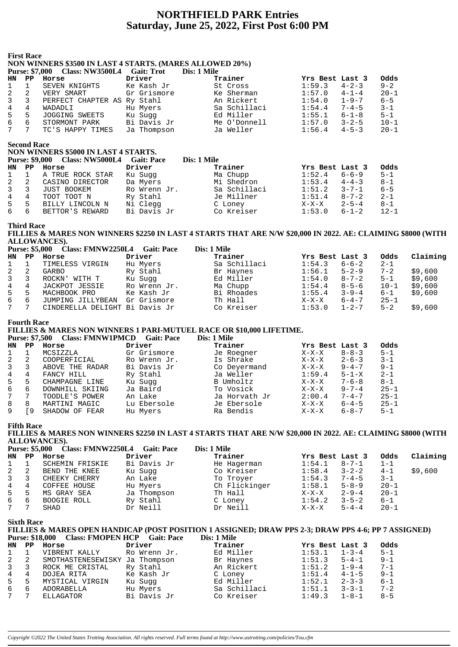# **NORTHFIELD PARK Entries Saturday, June 25, 2022, First Post 6:00 PM**

#### **First Race NON WINNERS \$3500 IN LAST 4 STARTS. (MARES ALLOWED 20%)**

|             |               | Purse: \$7,000 Class: NW3500L4 Gait: Trot |             | Dis: 1 Mile  |                       |          |
|-------------|---------------|-------------------------------------------|-------------|--------------|-----------------------|----------|
| HN          | $\mathbf{PP}$ | Horse                                     | Driver      | Trainer      | Yrs Best Last 3       | Odds     |
| $1 \quad 1$ |               | SEVEN KNIGHTS                             | Ke Kash Jr  | St Cross     | $4 - 2 - 3$<br>1:59.3 | $9 - 2$  |
| $2 \quad 2$ |               | VERY SMART                                | Gr Grismore | Ke Sherman   | $4 - 1 - 4$<br>1:57.0 | $20 - 1$ |
| $3 \quad 3$ |               | PERFECT CHAPTER AS Ry Stahl               |             | An Rickert   | $1 - 9 - 7$<br>1:54.0 | $6 - 5$  |
| 4           | 4             | WADADLI                                   | Hu Myers    | Sa Schillaci | $7 - 4 - 5$<br>1:54.4 | $3 - 1$  |
| 5           | 5             | JOGGING SWEETS                            | Ku Suqq     | Ed Miller    | $6 - 1 - 8$<br>1:55.1 | $5 - 1$  |
| 6           | 6             | STORMONT PARK                             | Bi Davis Jr | Me O'Donnell | $3 - 2 - 5$<br>1:57.0 | $10 - 1$ |
| 7           |               | TC'S HAPPY TIMES                          | Ja Thompson | Ja Weller    | $4 - 5 - 3$<br>1:56.4 | $20 - 1$ |

**Second Race**

|                  | second Race<br>NON WINNERS \$5000 IN LAST 4 STARTS. |                                       |                   |              |                 |             |          |  |  |  |  |  |
|------------------|-----------------------------------------------------|---------------------------------------|-------------------|--------------|-----------------|-------------|----------|--|--|--|--|--|
|                  |                                                     | <b>Purse: \$9,000 Class: NW5000L4</b> | <b>Gait: Pace</b> | Dis: 1 Mile  |                 |             |          |  |  |  |  |  |
| HN PP            |                                                     | Horse                                 | Driver            | Trainer      | Yrs Best Last 3 |             | Odds     |  |  |  |  |  |
| $1 \quad 1$      |                                                     | A TRUE ROCK STAR                      | Ku Sugg           | Ma Chupp     | 1:52.4          | $6 - 6 - 9$ | $5 - 1$  |  |  |  |  |  |
| $2 \quad 2$      |                                                     | CASINO DIRECTOR                       | Da Myers          | Mi Shedron   | 1:53.4          | $4 - 4 - 3$ | 8-1      |  |  |  |  |  |
| $3 \overline{3}$ |                                                     | JUST BOOKEM                           | Ro Wrenn Jr.      | Sa Schillaci | 1:51.2          | $3 - 7 - 1$ | $6 - 5$  |  |  |  |  |  |
| $\overline{4}$   | 4                                                   | TOOT TOOT N                           | Ry Stahl          | Je Millner   | 1:51.4          | $8 - 7 - 2$ | $2 - 1$  |  |  |  |  |  |
| $5 -$            | -5                                                  | BILLY LINCOLN N                       | Ni Clegg          | C Loney      | $X-X-X$         | $2 - 5 - 4$ | 8-1      |  |  |  |  |  |
| 6                | 6                                                   | BETTOR'S REWARD                       | Bi Davis Jr       | Co Kreiser   | 1:53.0          | $6 - 1 - 2$ | $12 - 1$ |  |  |  |  |  |

#### **Third Race**

**FILLIES & MARES NON WINNERS \$2250 IN LAST 4 STARTS THAT ARE N/W \$20,000 IN 2022. AE: CLAIMING \$8000 (WITH ALLOWANCES). Purse: \$5,000 Class: FMNW2250L4 Gait: Pace Dis: 1 Mile**

|                | Purse: \$5,000 | Class: FMNW2250L4 Gait: Pace   |              | Dis: 1 Mile  |                 |             |          |          |
|----------------|----------------|--------------------------------|--------------|--------------|-----------------|-------------|----------|----------|
| HN             | PP             | Horse                          | Driver       | Trainer      | Yrs Best Last 3 |             | Odds     | Claiming |
| 1              |                | TIMELESS VIRGIN                | Hu Myers     | Sa Schillaci | 1:54.3          | $6 - 6 - 2$ | $2 - 1$  |          |
| 2              | -2             | GARBO                          | Ry Stahl     | Br Haynes    | 1:56.1          | $5 - 2 - 9$ | $7 - 2$  | \$9,600  |
| $\overline{3}$ | - 3            | ROCKN' WITH T                  | Ku Sugg      | Ed Miller    | 1:54.0          | $8 - 7 - 2$ | $5 - 1$  | \$9,600  |
| 4              | 4              | JACKPOT JESSIE                 | Ro Wrenn Jr. | Ma Chupp     | 1:54.4          | $8 - 5 - 6$ | $10 - 1$ | \$9,600  |
| 5              | 5              | MACHBOOK PRO                   | Ke Kash Jr   | Bi Rhoades   | 1:55.4          | $3 - 9 - 4$ | $6 - 1$  | \$9,600  |
| 6              | 6              | JUMPING JILLYBEAN              | Gr Grismore  | Th Hall      | $X-X-X$         | $6 - 4 - 7$ | $25 - 1$ |          |
| 7              | $\overline{7}$ | CINDERELLA DELIGHT Bi Davis Jr |              | Co Kreiser   | 1:53.0          | $1 - 2 - 7$ | $5 - 2$  | \$9,600  |

#### **Fourth Race**

# **FILLIES & MARES NON WINNERS 1 PARI-MUTUEL RACE OR \$10,000 LIFETIME.**

**Purse: \$7,500 Class: FMNW1PMCD Gait: Pace Dis: 1 Mile HN PP Horse Driver Trainer Yrs Best Last 3 Odds** 1 1 MCSIZZLA Gr Grismore Je Roegner X-X-X 8-8-3 5-1 2 2 COOPERFICIAL Ro Wrenn Jr. Is Shrake X-X-X 2-6-3 3-1 3 3 ABOVE THE RADAR Bi Davis Jr Co Deyermand X-X-X 9-4-7 9-1 4 4 FANCY HILL Ry Stahl Ja Weller 1:59.4 5-1-X 2-1 5 5 CHAMPAGNE LINE Ku Sugg B Umholtz X-X-X 7-6-8 8-1 6 6 DOWNHILL SKIING Ja Baird To Vosick X-X-X 9-7-4 25-1 7 7 TOODLE'S POWER An Lake Ja Horvath Jr 2:00.4 7-4-7 25-1 8 8 MARTINI MAGIC Lu Ebersole Je Ebersole X-X-X 6-4-5 25-1 9 [9 SHADOW OF FEAR Hu Myers Ra Bendis X-X-X 6-8-7 5-1

**Fifth Race**

**FILLIES & MARES NON WINNERS \$2250 IN LAST 4 STARTS THAT ARE N/W \$20,000 IN 2022. AE: CLAIMING \$8000 (WITH ALLOWANCES). Purse: \$5,000 Class: FMNW2250L4 Gait: Pace Dis: 1 Mile**

|                | Purse: \$5,000 | Class: FMNW2250L4 Gait: Pace |             | Dis: 1 Mile   |                 |             |          |          |
|----------------|----------------|------------------------------|-------------|---------------|-----------------|-------------|----------|----------|
| HN.            | PP             | Horse                        | Driver      | Trainer       | Yrs Best Last 3 |             | Odds     | Claiming |
| $\mathbf{1}$   |                | SCHEMIN FRISKIE              | Bi Davis Jr | He Hagerman   | 1:54.1          | $8 - 7 - 1$ | $1 - 1$  |          |
| 2              | -2             | BEND THE KNEE                | Ku Sugg     | Co Kreiser    | 1:58.4          | $3 - 2 - 2$ | $4 - 1$  | \$9,600  |
| $\overline{3}$ | 3              | CHEEKY CHERRY                | An Lake     | To Troyer     | 1:54.3          | $7 - 4 - 5$ | $3 - 1$  |          |
| 4              | 4              | COFFEE HOUSE                 | Hu Myers    | Ch Flickinger | 1:58.1          | $5 - 8 - 9$ | $20 - 1$ |          |
| 5              | 5              | MS GRAY SEA                  | Ja Thompson | Th Hall       | $X-X-X$         | $2 - 9 - 4$ | $20 - 1$ |          |
| 6              | 6              | BOOGIE ROLL                  | Ry Stahl    | C Loney       | 1:54.2          | $3 - 5 - 2$ | $6 - 1$  |          |
|                |                | SHAD                         | Dr Neill    | Dr Neill      | $X-X-X$         | $5 - 4 - 4$ | $20 - 1$ |          |

**Sixth Race**

| FILLIES & MARES OPEN HANDICAP (POST POSITION 1 ASSIGNED; DRAW PPS 2-3; DRAW PPS 4-6; PP 7 ASSIGNED) |             |  |  |
|-----------------------------------------------------------------------------------------------------|-------------|--|--|
| Purse: \$18,000 Class: FMOPEN HCP Gait: Pace                                                        | Dis: 1 Mile |  |  |
|                                                                                                     |             |  |  |

| HN             | PP | Horse                          | Driver       | Trainer      | Yrs Best Last 3 |             | Odds    |
|----------------|----|--------------------------------|--------------|--------------|-----------------|-------------|---------|
|                |    | VIBRENT KALLY                  | Ro Wrenn Jr. | Ed Miller    | 1:53.1          | $1 - 3 - 4$ | $5 - 1$ |
| 2 2            |    | SMOTHASTENESEWISKY Ja Thompson |              | Br Haynes    | 1:51.3          | $5 - 4 - 1$ | $9 - 1$ |
| $\overline{3}$ | 3  | ROCK ME CRISTAL                | Ry Stahl     | An Rickert   | 1:51.2          | $1 - 9 - 4$ | $7 - 1$ |
| $\overline{4}$ | 4  | DOJEA RITA                     | Ke Kash Jr   | C Loney      | 1:51.4          | $4 - 1 - 5$ | $9 - 1$ |
| 5              | 5. | MYSTICAL VIRGIN                | Ku Sugg      | Ed Miller    | 1:52.1          | $2 - 3 - 3$ | $6 - 1$ |
| 6              | 6  | ADORABELLA                     | Hu Myers     | Sa Schillaci | 1:51.1          | $3 - 3 - 1$ | $7 - 2$ |
| 7              |    | ELLAGATOR                      | Bi Davis Jr  | Co Kreiser   | 1:49.3          | $1 - 8 - 1$ | $8 - 5$ |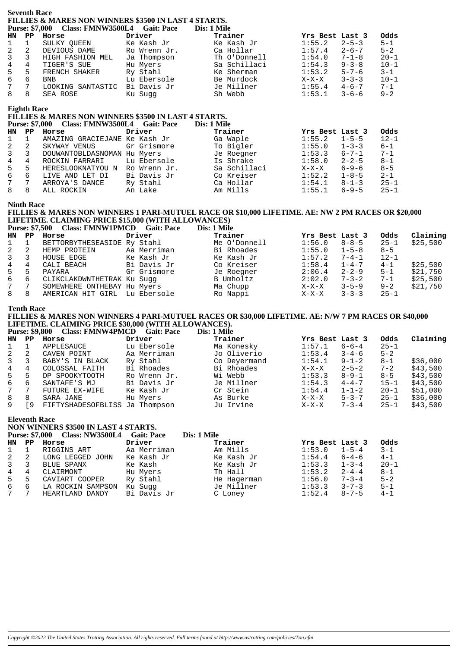#### **Seventh Race FILLIES & MARES NON WINNERS \$3500 IN LAST 4 STARTS. Purse: \$7,000 Class: FMNW3500L4 Gait: Pace**

|                |               | Tulst. \$1,000 Class. FILITY OSOOLT Gall. Fact |              | <b>LAS. LAVILLE</b> |                        |          |
|----------------|---------------|------------------------------------------------|--------------|---------------------|------------------------|----------|
| HN             | $\mathbf{PP}$ | Horse                                          | Driver       | Trainer             | Yrs Best Last 3        | Odds     |
| $1 \quad 1$    |               | SULKY OUEEN                                    | Ke Kash Jr   | Ke Kash Jr          | 1:55.2<br>$2 - 5 - 3$  | $5 - 1$  |
| 2              | 2             | DEVIOUS DAME                                   | Ro Wrenn Jr. | Ca Hollar           | $2 - 6 - 7$<br>1:57.4  | $5 - 2$  |
| $\mathbf{3}$   | 3             | HIGH FASHION MEL                               | Ja Thompson  | Th O'Donnell        | $7 - 1 - 8$<br>1:54.0  | $20 - 1$ |
| $\overline{4}$ | 4             | TIGER'S SUE                                    | Hu Myers     | Sa Schillaci        | 1:54.3<br>$9 - 3 - 8$  | $10 - 1$ |
| 5              | .5            | FRENCH SHAKER                                  | Ry Stahl     | Ke Sherman          | 1:53.2<br>$5 - 7 - 6$  | $3 - 1$  |
| 6              | 6             | <b>BNB</b>                                     | Lu Ebersole  | Be Murdock          | $3 - 3 - 3$<br>$X-X-X$ | $10 - 1$ |
| $7^{\circ}$    |               | LOOKING SANTASTIC                              | Bi Davis Jr  | Je Millner          | $4 - 6 - 7$<br>1:55.4  | $7 - 1$  |
| 8              | 8             | SEA ROSE                                       | Ku Sugg      | Sh Webb             | 1:53.1<br>$3 - 6 - 6$  | $9 - 2$  |
|                |               |                                                |              |                     |                        |          |

## **Eighth Race**

# **FILLIES & MARES NON WINNERS \$3500 IN LAST 4 STARTS.**

|                | <b>Purse: \$7,000</b> | Class: FMNW3500L4 Gait: Pace  |              | Dis: 1 Mile  |                        |          |
|----------------|-----------------------|-------------------------------|--------------|--------------|------------------------|----------|
| HN             | PP.                   | Horse                         | Driver       | Trainer      | Yrs Best Last 3        | Odds     |
| 1              |                       | AMAZING GRACIEJANE Ke Kash Jr |              | Ga Waple     | 1:55.2<br>$1 - 5 - 5$  | $12 - 1$ |
| 2              | 2                     | SKYWAY VENUS                  | Gr Grismore  | To Bigler    | $1 - 3 - 3$<br>1:55.0  | 6-1      |
| $\overline{3}$ | 3                     | DOUWANTOBLDASNOMAN Hu Myers   |              | Je Roegner   | 1:53.3<br>6-7-1        | $7 - 1$  |
| 4              | 4                     | ROCKIN FARRARI                | Lu Ebersole  | Is Shrake    | $2 - 2 - 5$<br>1:58.0  | $8 - 1$  |
| 5              | 5                     | HERESLOOKNATYOU N             | Ro Wrenn Jr. | Sa Schillaci | $6 - 9 - 6$<br>$X-X-X$ | $8 - 5$  |
| 6              | 6                     | LIVE AND LET DI               | Bi Davis Jr  | Co Kreiser   | $1 - 8 - 5$<br>1:52.2  | $2 - 1$  |
| $7^{\circ}$    | 7                     | ARROYA'S DANCE                | Ry Stahl     | Ca Hollar    | 1:54.1<br>$8 - 1 - 3$  | $25 - 1$ |
| 8              | 8                     | ALL ROCKIN                    | An Lake      | Am Mills     | $6 - 9 - 5$<br>1:55.1  | $25 - 1$ |

#### **Ninth Race**

# **FILLIES & MARES NON WINNERS 1 PARI-MUTUEL RACE OR \$10,000 LIFETIME. AE: NW 2 PM RACES OR \$20,000 LIFETIME. CLAIMING PRICE \$15,000 (WITH ALLOWANCES)**

**Purse: \$7,500 Class: FMNW1PMCD Gait: Pace Dis: 1 Mile**

|                |    | $\blacksquare$ and $\blacksquare$ . The $\blacksquare$ and $\blacksquare$ . The set of $\blacksquare$ . The set of $\blacksquare$ |             | $\sim$ 100 $\sim$ 100 $\sim$ |              |         |                 |          |          |
|----------------|----|-----------------------------------------------------------------------------------------------------------------------------------|-------------|------------------------------|--------------|---------|-----------------|----------|----------|
| HN             | PP | Horse                                                                                                                             | Driver      |                              | Trainer      |         | Yrs Best Last 3 | Odds     | Claiming |
| $1 \quad 1$    |    | BETTORBYTHESEASIDE Ry Stahl                                                                                                       |             |                              | Me O'Donnell | 1:56.0  | $8 - 8 - 5$     | $25 - 1$ | \$25,500 |
| 2              | -2 | HEMP PROTEIN                                                                                                                      | Aa Merriman |                              | Bi Rhoades   | 1:55.0  | $1 - 5 - 8$     | $8 - 5$  |          |
| $\mathbf{3}$   |    | HOUSE EDGE                                                                                                                        | Ke Kash Jr  |                              | Ke Kash Jr   | 1:57.2  | $7 - 4 - 1$     | $12 - 1$ |          |
| $\overline{4}$ | 4  | CALI BEACH                                                                                                                        | Bi Davis Jr |                              | Co Kreiser   | 1:58.4  | $1 - 4 - 7$     | $4 - 1$  | \$25,500 |
| 5              | 5  | PAYARA                                                                                                                            | Gr Grismore |                              | Je Roegner   | 2:06.4  | $2 - 2 - 9$     | $5 - 1$  | \$21,750 |
| 6              | 6  | CLIKCLAKDWNTHETRAK Ku Suqq                                                                                                        |             |                              | B Umholtz    | 2:02.0  | $7 - 3 - 2$     | $7 - 1$  | \$25,500 |
| 7              |    | SOMEWHERE ONTHEBAY Hu Myers                                                                                                       |             |                              | Ma Chupp     | $X-X-X$ | $3 - 5 - 9$     | $9 - 2$  | \$21,750 |
| 8              | 8  | AMERICAN HIT GIRL                                                                                                                 | Lu Ebersole |                              | Ro Nappi     | X-X-X   | $3 - 3 - 3$     | $25 - 1$ |          |

#### **Tenth Race**

# **FILLIES & MARES NON WINNERS 4 PARI-MUTUEL RACES OR \$30,000 LIFETIME. AE: N/W 7 PM RACES OR \$40,000 LIFETIME. CLAIMING PRICE \$30,000 (WITH ALLOWANCES).**

Purse: \$9,800 Class: FMNW4PMCD Gait: Pace

| HN           | PP. | Horse                          | Driver       | Trainer      | Yrs Best Last 3 |             | Odds     | Claiming |
|--------------|-----|--------------------------------|--------------|--------------|-----------------|-------------|----------|----------|
|              |     | APPLESAUCE                     | Lu Ebersole  | Ma Konesky   | 1:57.1          | $6 - 6 - 4$ | $25 - 1$ |          |
| 2            |     | CAVEN POINT                    | Aa Merriman  | Jo Oliverio  | 1:53.4          | $3 - 4 - 6$ | $5 - 2$  |          |
| $\mathbf{3}$ |     | BABY'S IN BLACK                | Ry Stahl     | Co Deyermand | 1:54.1          | $9 - 1 - 2$ | $8 - 1$  | \$36,000 |
| 4            | 4   | COLOSSAL FAITH                 | Bi Rhoades   | Bi Rhoades   | X-X-X           | $2 - 5 - 2$ | $7 - 2$  | \$43,500 |
| 5            |     | DP SPOOKYTOOTH                 | Ro Wrenn Jr. | Wi Webb      | 1:53.3          | $8 - 9 - 1$ | $8 - 5$  | \$43,500 |
| 6            | 6   | SANTAFE'S MJ                   | Bi Davis Jr  | Je Millner   | 1:54.3          | $4 - 4 - 7$ | $15 - 1$ | \$43,500 |
| 7            |     | FUTURE EX-WIFE                 | Ke Kash Jr   | Cr Stein     | 1:54.4          | $1 - 1 - 2$ | $20 - 1$ | \$51,000 |
| 8            | 8   | SARA JANE                      | Hu Myers     | As Burke     | X-X-X           | $5 - 3 - 7$ | $25 - 1$ | \$36,000 |
| 9            | و آ | FIFTYSHADESOFBLISS Ja Thompson |              | Ju Irvine    | $X-X-X$         | $7 - 3 - 4$ | $25 - 1$ | \$43,500 |

## **Eleventh Race**

**NON WINNERS \$3500 IN LAST 4 STARTS.**

|                |    | <b>Purse: \$7,000 Class: NW3500L4</b> | <b>Gait: Pace</b> | Dis: 1 Mile |                 |             |          |
|----------------|----|---------------------------------------|-------------------|-------------|-----------------|-------------|----------|
| HN.            | PP | Horse                                 | Driver            | Trainer     | Yrs Best Last 3 |             | Odds     |
| $1 \quad 1$    |    | RIGGINS ART                           | Aa Merriman       | Am Mills    | 1:53.0          | $1 - 5 - 4$ | $3 - 1$  |
| 2              | -2 | LONG LEGGED JOHN                      | Ke Kash Jr        | Ke Kash Jr  | 1:54.4          | $6 - 4 - 6$ | $4 - 1$  |
| $\overline{3}$ |    | BLUE SPANX                            | Ke Kash           | Ke Kash Jr  | 1:53.3          | $1 - 3 - 4$ | $20 - 1$ |
| 4              | 4  | CLAIRMONT                             | Hu Myers          | Th Hall     | 1:53.2          | $2 - 4 - 4$ | $8 - 1$  |
| 5              | 5  | CAVIART COOPER                        | Ry Stahl          | He Hagerman | 1:56.0          | $7 - 3 - 4$ | $5 - 2$  |
| 6              | 6  | LA ROCKIN SAMPSON                     | Ku Sugg           | Je Millner  | 1:53.3          | $3 - 7 - 3$ | $5 - 1$  |
| 7 <sup>7</sup> |    | HEARTLAND DANDY                       | Bi Davis Jr       | C Loney     | 1:52.4          | $8 - 7 - 5$ | $4 - 1$  |